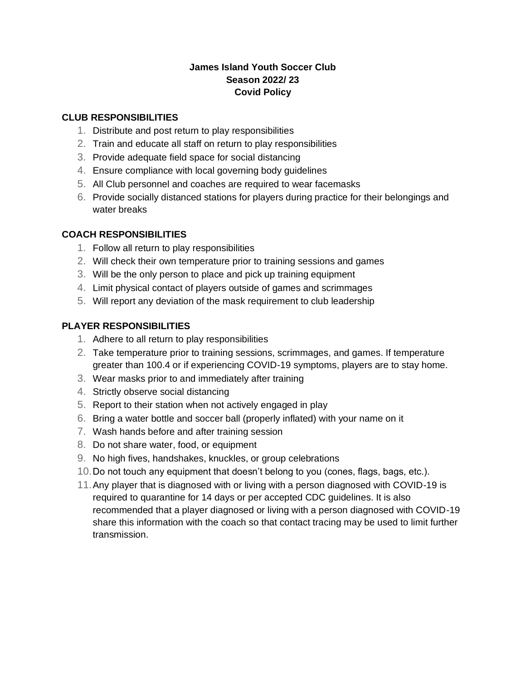## **James Island Youth Soccer Club Season 2022/ 23 Covid Policy**

# **CLUB RESPONSIBILITIES**

- 1. Distribute and post return to play responsibilities
- 2. Train and educate all staff on return to play responsibilities
- 3. Provide adequate field space for social distancing
- 4. Ensure compliance with local governing body guidelines
- 5. All Club personnel and coaches are required to wear facemasks
- 6. Provide socially distanced stations for players during practice for their belongings and water breaks

### **COACH RESPONSIBILITIES**

- 1. Follow all return to play responsibilities
- 2. Will check their own temperature prior to training sessions and games
- 3. Will be the only person to place and pick up training equipment
- 4. Limit physical contact of players outside of games and scrimmages
- 5. Will report any deviation of the mask requirement to club leadership

### **PLAYER RESPONSIBILITIES**

- 1. Adhere to all return to play responsibilities
- 2. Take temperature prior to training sessions, scrimmages, and games. If temperature greater than 100.4 or if experiencing COVID-19 symptoms, players are to stay home.
- 3. Wear masks prior to and immediately after training
- 4. Strictly observe social distancing
- 5. Report to their station when not actively engaged in play
- 6. Bring a water bottle and soccer ball (properly inflated) with your name on it
- 7. Wash hands before and after training session
- 8. Do not share water, food, or equipment
- 9. No high fives, handshakes, knuckles, or group celebrations
- 10.Do not touch any equipment that doesn't belong to you (cones, flags, bags, etc.).
- 11.Any player that is diagnosed with or living with a person diagnosed with COVID-19 is required to quarantine for 14 days or per accepted CDC guidelines. It is also recommended that a player diagnosed or living with a person diagnosed with COVID-19 share this information with the coach so that contact tracing may be used to limit further transmission.